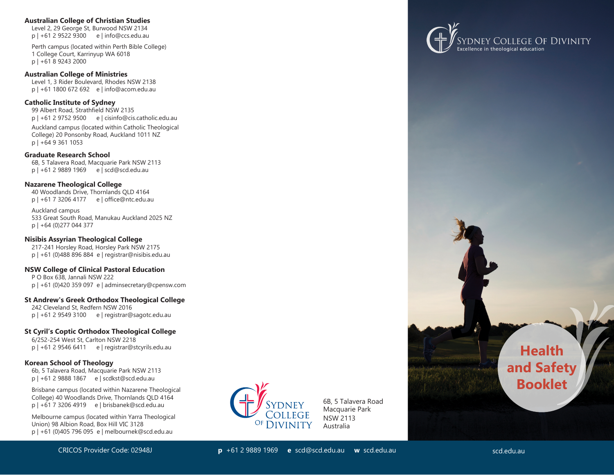### **Australian College of Christian Studies**

Level 2, 29 George St, Burwood NSW 2134 p | +61 2 9522 9300 e | info@ccs.edu.au

Perth campus (located within Perth Bible College) 1 College Court, Karrinyup WA 6018 p | +61 8 9243 2000

#### **Australian College of Ministries**

Level 1, 3 Rider Boulevard, Rhodes NSW 2138 p | +61 1800 672 692 e | info@acom.edu.au

### **Catholic Institute of Sydney**

99 Albert Road, Strathfield NSW 2135 p | +61 2 9752 9500 e | cisinfo@cis.catholic.edu.au Auckland campus (located within Catholic Theological College) 20 Ponsonby Road, Auckland 1011 NZ p | +64 9 361 1053

### **Graduate Research School**

6B, 5 Talavera Road, Macquarie Park NSW 2113 p | +61 2 9889 1969 e | scd@scd.edu.au

### **Nazarene Theological College**

40 Woodlands Drive, Thornlands QLD 4164 p | +61 7 3206 4177 e | office@ntc.edu.au

Auckland campus 533 Great South Road, Manukau Auckland 2025 NZ p | +64 (0)277 044 377

### **Nisibis Assyrian Theological College**

217-241 Horsley Road, Horsley Park NSW 2175 p | +61 (0)488 896 884 e | registrar@nisibis.edu.au

### **NSW College of Clinical Pastoral Education**

P O Box 638, Jannali NSW 222 p | +61 (0)420 359 097 e | adminsecretary@cpensw.com

### **St Andrew's Greek Orthodox Theological College**

242 Cleveland St, Redfern NSW 2016 p | +61 2 9549 3100 e | registrar@sagotc.edu.au

### **St Cyril's Coptic Orthodox Theological College**

6/252-254 West St, Carlton NSW 2218 p | +61 2 9546 6411 e | registrar@stcyrils.edu.au

### **Korean School of Theology**

6b, 5 Talavera Road, Macquarie Park NSW 2113 p | +61 2 9888 1867 e | scdkst@scd.edu.au

Brisbane campus (located within Nazarene Theological College) 40 Woodlands Drive, Thornlands QLD 4164 p | +61 7 3206 4919 e | brisbanek@scd.edu.au

Melbourne campus (located within Yarra Theological Union) 98 Albion Road, Box Hill VIC 3128 p | +61 (0)405 796 095 e | melbournek@scd.edu.au



6B, 5 Talavera Road Macquarie Park NSW 2113 Australia



# **Health and Safety Booklet**